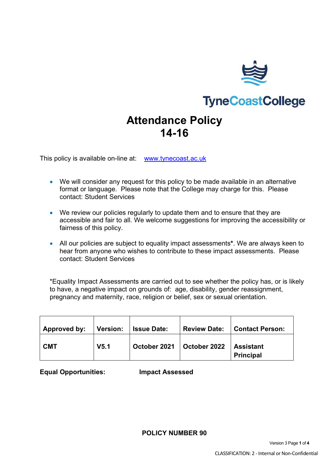

# **TyneCoastCollege**

## **Attendance Policy 14-16**

This policy is available on-line at: www.tynecoast.ac.uk

- We will consider any request for this policy to be made available in an alternative format or language. Please note that the College may charge for this. Please contact: Student Services
- We review our policies regularly to update them and to ensure that they are accessible and fair to all. We welcome suggestions for improving the accessibility or fairness of this policy.
- All our policies are subject to equality impact assessments**\***. We are always keen to hear from anyone who wishes to contribute to these impact assessments. Please contact: Student Services

\*Equality Impact Assessments are carried out to see whether the policy has, or is likely to have, a negative impact on grounds of: age, disability, gender reassignment, pregnancy and maternity, race, religion or belief, sex or sexual orientation.

| Approved by: | Version:         | <b>Issue Date:</b> | <b>Review Date:</b> | Contact Person:                      |
|--------------|------------------|--------------------|---------------------|--------------------------------------|
| <b>CMT</b>   | V <sub>5.1</sub> | October 2021       | October 2022        | <b>Assistant</b><br><b>Principal</b> |

**Equal Opportunities: Impact Assessed**

**POLICY NUMBER 90**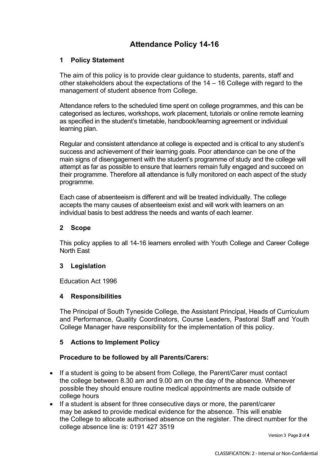### **Attendance Policy 14-16**

#### **1 Policy Statement**

The aim of this policy is to provide clear guidance to students, parents, staff and other stakeholders about the expectations of the 14 – 16 College with regard to the management of student absence from College.

Attendance refers to the scheduled time spent on college programmes, and this can be categorised as lectures, workshops, work placement, tutorials or online remote learning as specified in the student's timetable, handbook/learning agreement or individual learning plan.

Regular and consistent attendance at college is expected and is critical to any student's success and achievement of their learning goals. Poor attendance can be one of the main signs of disengagement with the student's programme of study and the college will attempt as far as possible to ensure that learners remain fully engaged and succeed on their programme. Therefore all attendance is fully monitored on each aspect of the study programme.

Each case of absenteeism is different and will be treated individually. The college accepts the many causes of absenteeism exist and will work with learners on an individual basis to best address the needs and wants of each learner.

#### **2 Scope**

This policy applies to all 14-16 learners enrolled with Youth College and Career College North East

#### **3 Legislation**

Education Act 1996

#### **4 Responsibilities**

The Principal of South Tyneside College, the Assistant Principal, Heads of Curriculum and Performance, Quality Coordinators, Course Leaders, Pastoral Staff and Youth College Manager have responsibility for the implementation of this policy.

#### **5 Actions to Implement Policy**

#### **Procedure to be followed by all Parents/Carers:**

- If a student is going to be absent from College, the Parent/Carer must contact the college between 8.30 am and 9.00 am on the day of the absence. Whenever possible they should ensure routine medical appointments are made outside of college hours
- If a student is absent for three consecutive days or more, the parent/carer may be asked to provide medical evidence for the absence. This will enable the College to allocate authorised absence on the register. The direct number for the college absence line is: 0191 427 3519

Version 3 Page **2** of **4**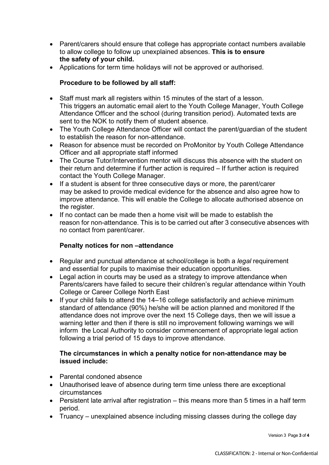- Parent/carers should ensure that college has appropriate contact numbers available to allow college to follow up unexplained absences. **This is to ensure the safety of your child.**
- Applications for term time holidays will not be approved or authorised.

#### **Procedure to be followed by all staff:**

- Staff must mark all registers within 15 minutes of the start of a lesson. This triggers an automatic email alert to the Youth College Manager, Youth College Attendance Officer and the school (during transition period). Automated texts are sent to the NOK to notify them of student absence.
- The Youth College Attendance Officer will contact the parent/guardian of the student to establish the reason for non-attendance.
- Reason for absence must be recorded on ProMonitor by Youth College Attendance Officer and all appropriate staff informed
- The Course Tutor/Intervention mentor will discuss this absence with the student on their return and determine if further action is required – If further action is required contact the Youth College Manager.
- If a student is absent for three consecutive days or more, the parent/carer may be asked to provide medical evidence for the absence and also agree how to improve attendance. This will enable the College to allocate authorised absence on the register.
- If no contact can be made then a home visit will be made to establish the reason for non-attendance. This is to be carried out after 3 consecutive absences with no contact from parent/carer.

#### **Penalty notices for non –attendance**

- Regular and punctual attendance at school/college is both a *legal* requirement and essential for pupils to maximise their education opportunities.
- Legal action in courts may be used as a strategy to improve attendance when Parents/carers have failed to secure their children's regular attendance within Youth College or Career College North East
- If your child fails to attend the 14–16 college satisfactorily and achieve minimum standard of attendance (90%) he/she will be action planned and monitored If the attendance does not improve over the next 15 College days, then we will issue a warning letter and then if there is still no improvement following warnings we will inform the Local Authority to consider commencement of appropriate legal action following a trial period of 15 days to improve attendance.

#### **The circumstances in which a penalty notice for non-attendance may be issued include:**

- Parental condoned absence
- Unauthorised leave of absence during term time unless there are exceptional circumstances
- Persistent late arrival after registration this means more than 5 times in a half term period.
- Truancy unexplained absence including missing classes during the college day

Version 3 Page **3** of **4**